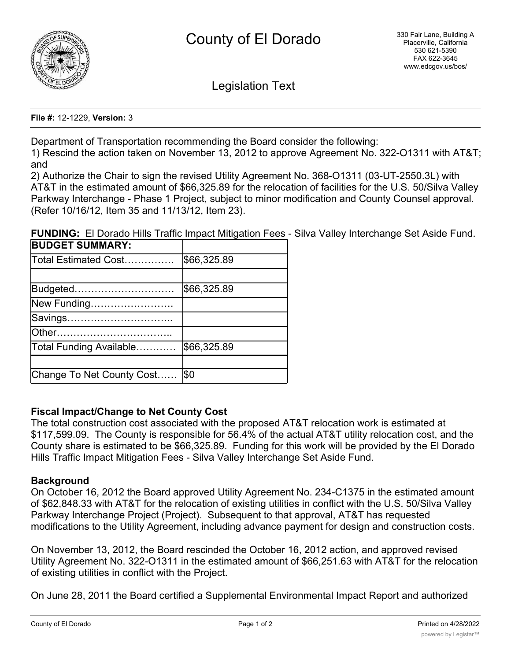

Legislation Text

**File #:** 12-1229, **Version:** 3

Department of Transportation recommending the Board consider the following:

1) Rescind the action taken on November 13, 2012 to approve Agreement No. 322-O1311 with AT&T; and

2) Authorize the Chair to sign the revised Utility Agreement No. 368-O1311 (03-UT-2550.3L) with AT&T in the estimated amount of \$66,325.89 for the relocation of facilities for the U.S. 50/Silva Valley Parkway Interchange - Phase 1 Project, subject to minor modification and County Counsel approval. (Refer 10/16/12, Item 35 and 11/13/12, Item 23).

**FUNDING:** El Dorado Hills Traffic Impact Mitigation Fees - Silva Valley Interchange Set Aside Fund.

| <b>BUDGET SUMMARY:</b>    |             |
|---------------------------|-------------|
| Total Estimated Cost      | \$66,325.89 |
|                           |             |
| Budgeted                  | \$66,325.89 |
| New Funding               |             |
| Savings                   |             |
|                           |             |
| Total Funding Available   | \$66,325.89 |
|                           |             |
| Change To Net County Cost | \$0         |

# **Fiscal Impact/Change to Net County Cost**

The total construction cost associated with the proposed AT&T relocation work is estimated at \$117,599.09. The County is responsible for 56.4% of the actual AT&T utility relocation cost, and the County share is estimated to be \$66,325.89. Funding for this work will be provided by the El Dorado Hills Traffic Impact Mitigation Fees - Silva Valley Interchange Set Aside Fund.

# **Background**

On October 16, 2012 the Board approved Utility Agreement No. 234-C1375 in the estimated amount of \$62,848.33 with AT&T for the relocation of existing utilities in conflict with the U.S. 50/Silva Valley Parkway Interchange Project (Project). Subsequent to that approval, AT&T has requested modifications to the Utility Agreement, including advance payment for design and construction costs.

On November 13, 2012, the Board rescinded the October 16, 2012 action, and approved revised Utility Agreement No. 322-O1311 in the estimated amount of \$66,251.63 with AT&T for the relocation of existing utilities in conflict with the Project.

On June 28, 2011 the Board certified a Supplemental Environmental Impact Report and authorized